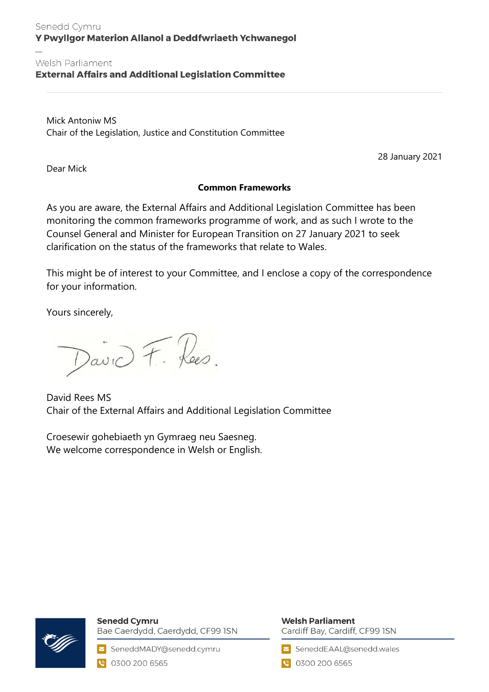#### Senedd Cymru Y Pwyllgor Materion Allanol a Deddfwriaeth Ychwanegol

#### Welsh Parliament

**External Affairs and Additional Legislation Committee** 

Mick Antoniw MS Chair of the Legislation, Justice and Constitution Committee

28 January 2021

Dear Mick

#### **Common Frameworks**

As you are aware, the External Affairs and Additional Legislation Committee has been monitoring the common frameworks programme of work, and as such I wrote to the Counsel General and Minister for European Transition on 27 January 2021 to seek clarification on the status of the frameworks that relate to Wales.

This might be of interest to your Committee, and I enclose a copy of the correspondence for your information.

Yours sincerely,

David F. Hees.

David Rees MS Chair of the External Affairs and Additional Legislation Committee

Croesewir gohebiaeth yn Gymraeg neu Saesneg. We welcome correspondence in Welsh or English.



**Senedd Cymru** Bae Caerdydd, Caerdydd, CF99 ISN

SeneddMADY@senedd.cymru C 0300 200 6565

### **Welsh Parliament**

Cardiff Bay, Cardiff, CF99 ISN

SeneddEAAL@senedd.wales

● 0300 200 6565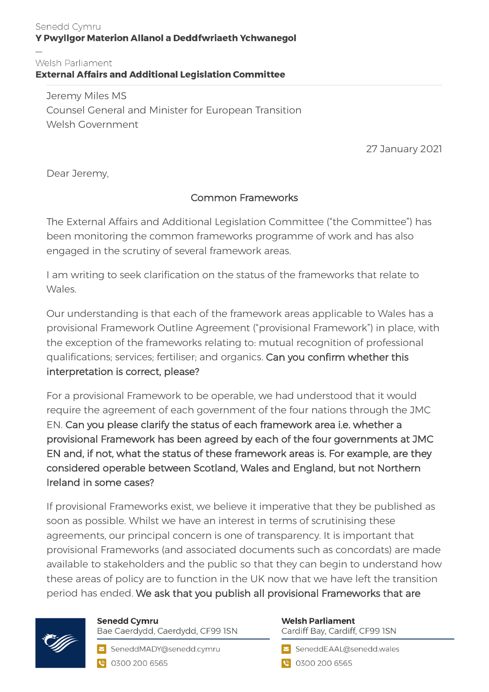#### Senedd Cymru Y Pwyllgor Materion Allanol a Deddfwriaeth Ychwanegol

# Welsh Parliament<br>External Affairs and Additional Legislation Committee

Jeremy Miles MS Counsel General and Minister for European Transition Welsh Government

27 January 2021

Dear Jeremy,

## Common Frameworks

The External Affairs and Additional Legislation Committee ("the Committee") has been monitoring the common frameworks programme of work and has also engaged in the scrutiny of several framework areas.

I am writing to seek clarification on the status of the frameworks that relate to Wales.

Our understanding is that each of the framework areas applicable to Wales has a provisional Framework Outline Agreement ("provisional Framework") in place, with the exception of the frameworks relating to: mutual recognition of professional qualifications; services; fertiliser; and organics. Can you confirm whether this interpretation is correct, please?

For a provisional Framework to be operable, we had understood that it would require the agreement of each government of the four nations through the JMC EN. Can you please clarify the status of each framework area i.e. whether a provisional Framework has been agreed by each of the four governments at JMC EN and, if not, what the status of these framework areas is. For example, are they considered operable between Scotland, Wales and England, but not Northern Ireland in some cases?

If provisional Frameworks exist, we believe it imperative that they be published as soon as possible. Whilst we have an interest in terms of scrutinising these agreements, our principal concern is one of transparency. It is important that provisional Frameworks (and associated documents such as concordats) are made available to stakeholders and the public so that they can begin to understand how these areas of policy are to function in the UK now that we have left the transition period has ended. We ask that you publish all provisional Frameworks that are



## **Senedd Cymru**

Bae Caerdydd, Caerdydd, CF99 ISN

SeneddMADY@senedd.cymru C 0300 200 6565

## **Welsh Parliament**

Cardiff Bay, Cardiff, CF99 ISN

SeneddEAAL@senedd.wales

● 0300 200 6565